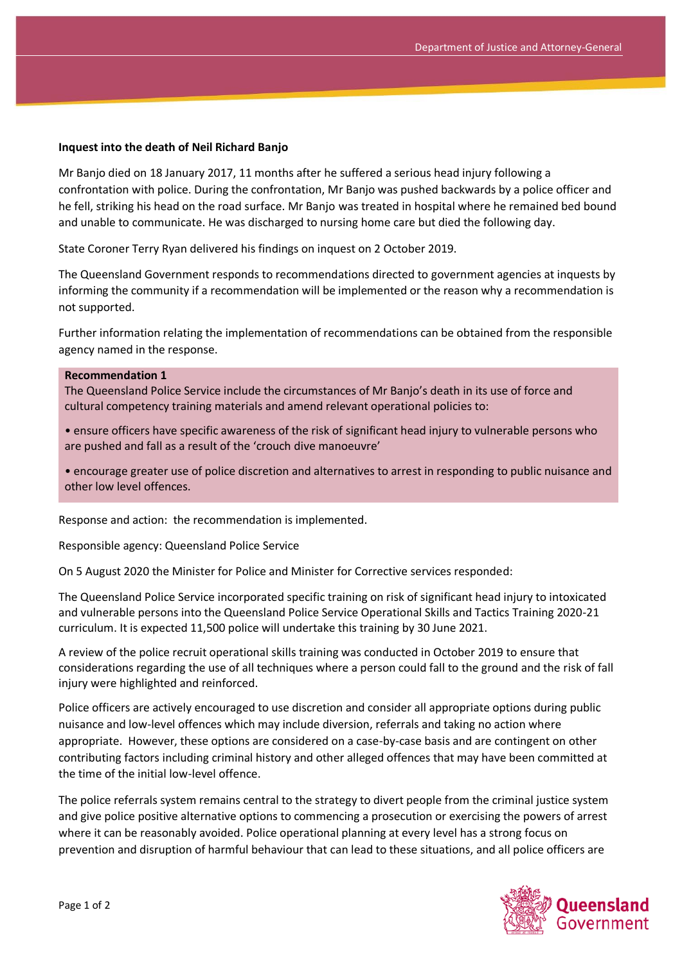## **Inquest into the death of Neil Richard Banjo**

Mr Banjo died on 18 January 2017, 11 months after he suffered a serious head injury following a confrontation with police. During the confrontation, Mr Banjo was pushed backwards by a police officer and he fell, striking his head on the road surface. Mr Banjo was treated in hospital where he remained bed bound and unable to communicate. He was discharged to nursing home care but died the following day.

State Coroner Terry Ryan delivered his findings on inquest on 2 October 2019.

The Queensland Government responds to recommendations directed to government agencies at inquests by informing the community if a recommendation will be implemented or the reason why a recommendation is not supported.

Further information relating the implementation of recommendations can be obtained from the responsible agency named in the response.

## **Recommendation 1**

The Queensland Police Service include the circumstances of Mr Banjo's death in its use of force and cultural competency training materials and amend relevant operational policies to:

• ensure officers have specific awareness of the risk of significant head injury to vulnerable persons who are pushed and fall as a result of the 'crouch dive manoeuvre'

• encourage greater use of police discretion and alternatives to arrest in responding to public nuisance and other low level offences.

Response and action: the recommendation is implemented.

Responsible agency: Queensland Police Service

On 5 August 2020 the Minister for Police and Minister for Corrective services responded:

The Queensland Police Service incorporated specific training on risk of significant head injury to intoxicated and vulnerable persons into the Queensland Police Service Operational Skills and Tactics Training 2020-21 curriculum. It is expected 11,500 police will undertake this training by 30 June 2021.

A review of the police recruit operational skills training was conducted in October 2019 to ensure that considerations regarding the use of all techniques where a person could fall to the ground and the risk of fall injury were highlighted and reinforced.

Police officers are actively encouraged to use discretion and consider all appropriate options during public nuisance and low-level offences which may include diversion, referrals and taking no action where appropriate. However, these options are considered on a case-by-case basis and are contingent on other contributing factors including criminal history and other alleged offences that may have been committed at the time of the initial low-level offence.

The police referrals system remains central to the strategy to divert people from the criminal justice system and give police positive alternative options to commencing a prosecution or exercising the powers of arrest where it can be reasonably avoided. Police operational planning at every level has a strong focus on prevention and disruption of harmful behaviour that can lead to these situations, and all police officers are